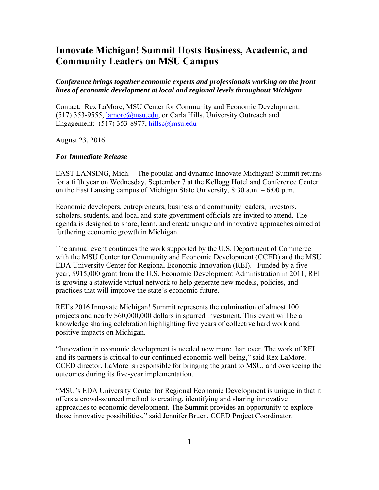# **Innovate Michigan! Summit Hosts Business, Academic, and Community Leaders on MSU Campus**

## *Conference brings together economic experts and professionals working on the front lines of economic development at local and regional levels throughout Michigan*

Contact: Rex LaMore, MSU Center for Community and Economic Development: (517) 353-9555, lamore@msu.edu, or Carla Hills, University Outreach and Engagement:  $(517)$  353-8977, hillsc@msu.edu

August 23, 2016

### *For Immediate Release*

EAST LANSING, Mich. – The popular and dynamic Innovate Michigan! Summit returns for a fifth year on Wednesday, September 7 at the Kellogg Hotel and Conference Center on the East Lansing campus of Michigan State University, 8:30 a.m. – 6:00 p.m.

Economic developers, entrepreneurs, business and community leaders, investors, scholars, students, and local and state government officials are invited to attend. The agenda is designed to share, learn, and create unique and innovative approaches aimed at furthering economic growth in Michigan.

The annual event continues the work supported by the U.S. Department of Commerce with the MSU Center for Community and Economic Development (CCED) and the MSU EDA University Center for Regional Economic Innovation (REI). Funded by a fiveyear, \$915,000 grant from the U.S. Economic Development Administration in 2011, REI is growing a statewide virtual network to help generate new models, policies, and practices that will improve the state's economic future.

REI's 2016 Innovate Michigan! Summit represents the culmination of almost 100 projects and nearly \$60,000,000 dollars in spurred investment. This event will be a knowledge sharing celebration highlighting five years of collective hard work and positive impacts on Michigan.

"Innovation in economic development is needed now more than ever. The work of REI and its partners is critical to our continued economic well-being," said Rex LaMore, CCED director. LaMore is responsible for bringing the grant to MSU, and overseeing the outcomes during its five-year implementation.

"MSU's EDA University Center for Regional Economic Development is unique in that it offers a crowd-sourced method to creating, identifying and sharing innovative approaches to economic development. The Summit provides an opportunity to explore those innovative possibilities," said Jennifer Bruen, CCED Project Coordinator.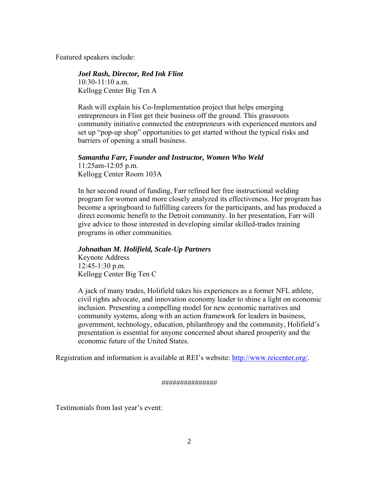Featured speakers include:

### *Joel Rash, Director, Red Ink Flint*

10:30-11:10 a.m. Kellogg Center Big Ten A

Rash will explain his Co-Implementation project that helps emerging entrepreneurs in Flint get their business off the ground. This grassroots community initiative connected the entrepreneurs with experienced mentors and set up "pop-up shop" opportunities to get started without the typical risks and barriers of opening a small business.

#### *Samantha Farr, Founder and Instructor, Women Who Weld* 11:25am-12:05 p.m.

Kellogg Center Room 103A

In her second round of funding, Farr refined her free instructional welding program for women and more closely analyzed its effectiveness. Her program has become a springboard to fulfilling careers for the participants, and has produced a direct economic benefit to the Detroit community. In her presentation, Farr will give advice to those interested in developing similar skilled-trades training programs in other communities.

#### *Johnathan M. Holifield, Scale-Up Partners*

Keynote Address 12:45-1:30 p.m. Kellogg Center Big Ten C

A jack of many trades, Holifield takes his experiences as a former NFL athlete, civil rights advocate, and innovation economy leader to shine a light on economic inclusion. Presenting a compelling model for new economic narratives and community systems, along with an action framework for leaders in business, government, technology, education, philanthropy and the community, Holifield's presentation is essential for anyone concerned about shared prosperity and the economic future of the United States.

Registration and information is available at REI's website: http://www.reicenter.org/.

###############

Testimonials from last year's event: